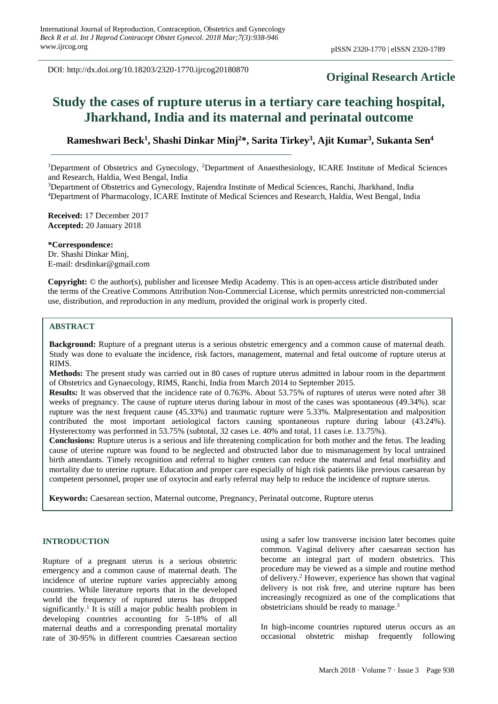DOI: http://dx.doi.org/10.18203/2320-1770.ijrcog20180870

# **Original Research Article**

# **Study the cases of rupture uterus in a tertiary care teaching hospital, Jharkhand, India and its maternal and perinatal outcome**

**Rameshwari Beck<sup>1</sup> , Shashi Dinkar Minj<sup>2</sup>\*, Sarita Tirkey<sup>3</sup> , Ajit Kumar<sup>3</sup> , Sukanta Sen<sup>4</sup>**

<sup>1</sup>Department of Obstetrics and Gynecology, <sup>2</sup>Department of Anaesthesiology, ICARE Institute of Medical Sciences and Research, Haldia, West Bengal, India

<sup>3</sup>Department of Obstetrics and Gynecology, Rajendra Institute of Medical Sciences, Ranchi, Jharkhand, India <sup>4</sup>Department of Pharmacology, ICARE Institute of Medical Sciences and Research, Haldia, West Bengal, India

**Received:** 17 December 2017 **Accepted:** 20 January 2018

**\*Correspondence:** Dr. Shashi Dinkar Minj, E-mail: drsdinkar@gmail.com

**Copyright:** © the author(s), publisher and licensee Medip Academy. This is an open-access article distributed under the terms of the Creative Commons Attribution Non-Commercial License, which permits unrestricted non-commercial use, distribution, and reproduction in any medium, provided the original work is properly cited.

# **ABSTRACT**

**Background:** Rupture of a pregnant uterus is a serious obstetric emergency and a common cause of maternal death. Study was done to evaluate the incidence, risk factors, management, maternal and fetal outcome of rupture uterus at RIMS.

**Methods:** The present study was carried out in 80 cases of rupture uterus admitted in labour room in the department of Obstetrics and Gynaecology, RIMS, Ranchi, India from March 2014 to September 2015.

**Results:** It was observed that the incidence rate of 0.763%. About 53.75% of ruptures of uterus were noted after 38 weeks of pregnancy. The cause of rupture uterus during labour in most of the cases was spontaneous (49.34%). scar rupture was the next frequent cause (45.33%) and traumatic rupture were 5.33%. Malpresentation and malposition contributed the most important aetiological factors causing spontaneous rupture during labour (43.24%). Hysterectomy was performed in 53.75% (subtotal, 32 cases i.e. 40% and total, 11 cases i.e. 13.75%).

**Conclusions:** Rupture uterus is a serious and life threatening complication for both mother and the fetus. The leading cause of uterine rupture was found to be neglected and obstructed labor due to mismanagement by local untrained birth attendants. Timely recognition and referral to higher centers can reduce the maternal and fetal morbidity and mortality due to uterine rupture. Education and proper care especially of high risk patients like previous caesarean by competent personnel, proper use of oxytocin and early referral may help to reduce the incidence of rupture uterus.

**Keywords:** Caesarean section, Maternal outcome, Pregnancy, Perinatal outcome, Rupture uterus

#### **INTRODUCTION**

Rupture of a pregnant uterus is a serious obstetric emergency and a common cause of maternal death. The incidence of uterine rupture varies appreciably among countries. While literature reports that in the developed world the frequency of ruptured uterus has dropped significantly.<sup>1</sup> It is still a major public health problem in developing countries accounting for 5-18% of all maternal deaths and a corresponding prenatal mortality rate of 30-95% in different countries Caesarean section using a safer low transverse incision later becomes quite common. Vaginal delivery after caesarean section has become an integral part of modern obstetrics. This procedure may be viewed as a simple and routine method of delivery.<sup>2</sup> However, experience has shown that vaginal delivery is not risk free, and uterine rupture has been increasingly recognized as one of the complications that obstetricians should be ready to manage.<sup>3</sup>

In high-income countries ruptured uterus occurs as an occasional obstetric mishap frequently following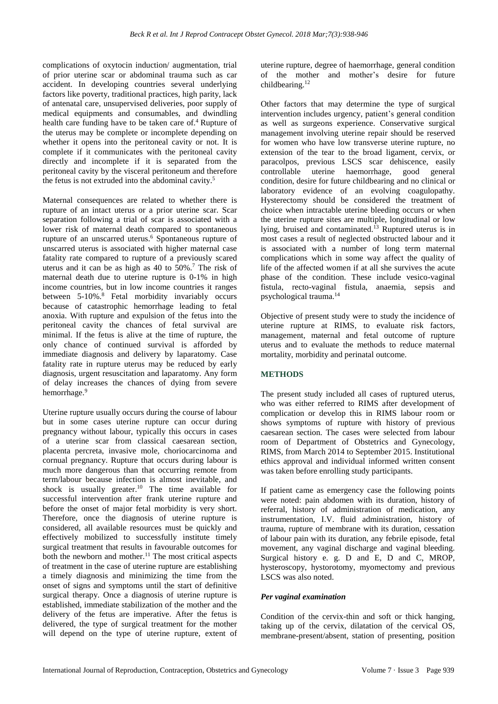complications of oxytocin induction/ augmentation, trial of prior uterine scar or abdominal trauma such as car accident. In developing countries several underlying factors like poverty, traditional practices, high parity, lack of antenatal care, unsupervised deliveries, poor supply of medical equipments and consumables, and dwindling health care funding have to be taken care of.<sup>4</sup> Rupture of the uterus may be complete or incomplete depending on whether it opens into the peritoneal cavity or not. It is complete if it communicates with the peritoneal cavity directly and incomplete if it is separated from the peritoneal cavity by the visceral peritoneum and therefore the fetus is not extruded into the abdominal cavity.<sup>5</sup>

Maternal consequences are related to whether there is rupture of an intact uterus or a prior uterine scar. Scar separation following a trial of scar is associated with a lower risk of maternal death compared to spontaneous rupture of an unscarred uterus.<sup>6</sup> Spontaneous rupture of unscarred uterus is associated with higher maternal case fatality rate compared to rupture of a previously scared uterus and it can be as high as  $40$  to  $50\%$ .<sup>7</sup> The risk of maternal death due to uterine rupture is 0-1% in high income countries, but in low income countries it ranges between 5-10%.<sup>8</sup> Fetal morbidity invariably occurs because of catastrophic hemorrhage leading to fetal anoxia. With rupture and expulsion of the fetus into the peritoneal cavity the chances of fetal survival are minimal. If the fetus is alive at the time of rupture, the only chance of continued survival is afforded by immediate diagnosis and delivery by laparatomy. Case fatality rate in rupture uterus may be reduced by early diagnosis, urgent resuscitation and laparatomy. Any form of delay increases the chances of dying from severe hemorrhage.<sup>9</sup>

Uterine rupture usually occurs during the course of labour but in some cases uterine rupture can occur during pregnancy without labour, typically this occurs in cases of a uterine scar from classical caesarean section, placenta percreta, invasive mole, choriocarcinoma and cornual pregnancy. Rupture that occurs during labour is much more dangerous than that occurring remote from term/labour because infection is almost inevitable, and shock is usually greater.<sup>10</sup> The time available for successful intervention after frank uterine rupture and before the onset of major fetal morbidity is very short. Therefore, once the diagnosis of uterine rupture is considered, all available resources must be quickly and effectively mobilized to successfully institute timely surgical treatment that results in favourable outcomes for both the newborn and mother.<sup>11</sup> The most critical aspects of treatment in the case of uterine rupture are establishing a timely diagnosis and minimizing the time from the onset of signs and symptoms until the start of definitive surgical therapy. Once a diagnosis of uterine rupture is established, immediate stabilization of the mother and the delivery of the fetus are imperative. After the fetus is delivered, the type of surgical treatment for the mother will depend on the type of uterine rupture, extent of uterine rupture, degree of haemorrhage, general condition of the mother and mother's desire for future childbearing.<sup>12</sup>

Other factors that may determine the type of surgical intervention includes urgency, patient's general condition as well as surgeons experience. Conservative surgical management involving uterine repair should be reserved for women who have low transverse uterine rupture, no extension of the tear to the broad ligament, cervix, or paracolpos, previous LSCS scar dehiscence, easily controllable uterine haemorrhage, good general condition, desire for future childbearing and no clinical or laboratory evidence of an evolving coagulopathy. Hysterectomy should be considered the treatment of choice when intractable uterine bleeding occurs or when the uterine rupture sites are multiple, longitudinal or low lying, bruised and contaminated.<sup>13</sup> Ruptured uterus is in most cases a result of neglected obstructed labour and it is associated with a number of long term maternal complications which in some way affect the quality of life of the affected women if at all she survives the acute phase of the condition. These include vesico-vaginal fistula, recto-vaginal fistula, anaemia, sepsis and psychological trauma.<sup>14</sup>

Objective of present study were to study the incidence of uterine rupture at RIMS, to evaluate risk factors, management, maternal and fetal outcome of rupture uterus and to evaluate the methods to reduce maternal mortality, morbidity and perinatal outcome.

# **METHODS**

The present study included all cases of ruptured uterus, who was either referred to RIMS after development of complication or develop this in RIMS labour room or shows symptoms of rupture with history of previous caesarean section. The cases were selected from labour room of Department of Obstetrics and Gynecology, RIMS, from March 2014 to September 2015. Institutional ethics approval and individual informed written consent was taken before enrolling study participants.

If patient came as emergency case the following points were noted: pain abdomen with its duration, history of referral, history of administration of medication, any instrumentation, I.V. fluid administration, history of trauma, rupture of membrane with its duration, cessation of labour pain with its duration, any febrile episode, fetal movement, any vaginal discharge and vaginal bleeding. Surgical history e. g. D and E, D and C, MROP, hysteroscopy, hystorotomy, myomectomy and previous LSCS was also noted.

# *Per vaginal examination*

Condition of the cervix-thin and soft or thick hanging, taking up of the cervix, dilatation of the cervical OS, membrane-present/absent, station of presenting, position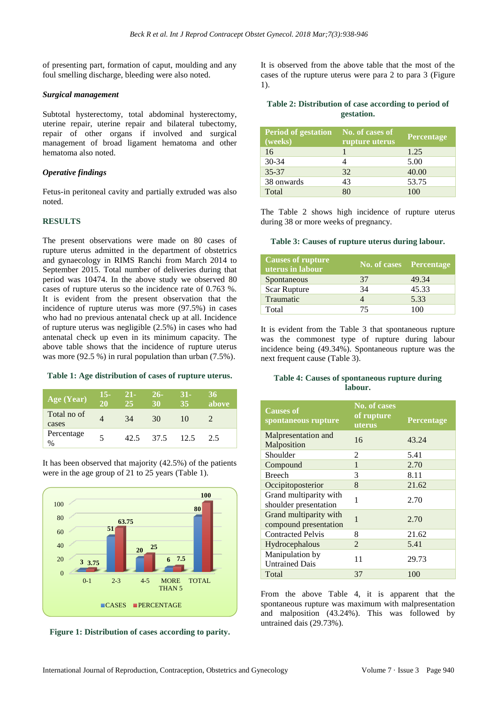of presenting part, formation of caput, moulding and any foul smelling discharge, bleeding were also noted.

#### *Surgical management*

Subtotal hysterectomy, total abdominal hysterectomy, uterine repair, uterine repair and bilateral tubectomy, repair of other organs if involved and surgical management of broad ligament hematoma and other hematoma also noted.

# *Operative findings*

Fetus-in peritoneal cavity and partially extruded was also noted.

# **RESULTS**

The present observations were made on 80 cases of rupture uterus admitted in the department of obstetrics and gynaecology in RIMS Ranchi from March 2014 to September 2015. Total number of deliveries during that period was 10474. In the above study we observed 80 cases of rupture uterus so the incidence rate of 0.763 %. It is evident from the present observation that the incidence of rupture uterus was more (97.5%) in cases who had no previous antenatal check up at all. Incidence of rupture uterus was negligible (2.5%) in cases who had antenatal check up even in its minimum capacity. The above table shows that the incidence of rupture uterus was more (92.5 %) in rural population than urban (7.5%).

# **Table 1: Age distribution of cases of rupture uterus.**

| Age (Year)           | 15-<br>20 | $21 -$<br>25 | $26 -$<br>30 | 31-<br>35 | 36<br>above |
|----------------------|-----------|--------------|--------------|-----------|-------------|
| Total no of<br>cases | 4         | 34           | 30           | 10        |             |
| Percentage<br>$\%$   | 5         | 42.5         | 37.5         | 12.5      | 2.5         |

It has been observed that majority (42.5%) of the patients were in the age group of 21 to 25 years (Table 1).



**Figure 1: Distribution of cases according to parity.**

It is observed from the above table that the most of the cases of the rupture uterus were para 2 to para 3 (Figure 1).

# **Table 2: Distribution of case according to period of gestation.**

| <b>Period of gestation</b><br>(weeks) | No. of cases of<br>rupture uterus | Percentage |
|---------------------------------------|-----------------------------------|------------|
| 16                                    |                                   | 1.25       |
| $30 - 34$                             |                                   | 5.00       |
| 35-37                                 | 32                                | 40.00      |
| 38 onwards                            | 43                                | 53.75      |
| Total                                 | ጸባ                                | 100        |

The Table 2 shows high incidence of rupture uterus during 38 or more weeks of pregnancy.

#### **Table 3: Causes of rupture uterus during labour.**

| <b>Causes of rupture</b><br>uterus in labour | No. of cases Percentage |       |
|----------------------------------------------|-------------------------|-------|
| Spontaneous                                  | 37                      | 49.34 |
| Scar Rupture                                 | 34                      | 45.33 |
| Traumatic                                    |                         | 5.33  |
| Total                                        | 75                      | 100   |

It is evident from the Table 3 that spontaneous rupture was the commonest type of rupture during labour incidence being (49.34%). Spontaneous rupture was the next frequent cause (Table 3).

#### **Table 4: Causes of spontaneous rupture during labour.**

| <b>Causes of</b><br>spontaneous rupture         | <b>No. of cases</b><br>of rupture<br>uterus | <b>Percentage</b> |
|-------------------------------------------------|---------------------------------------------|-------------------|
| Malpresentation and<br>Malposition              | 16                                          | 43.24             |
| Shoulder                                        | 2                                           | 5.41              |
| Compound                                        | 1                                           | 2.70              |
| <b>Breech</b>                                   | 3                                           | 8.11              |
| Occipitoposterior                               | 8                                           | 21.62             |
| Grand multiparity with<br>shoulder presentation | 1                                           | 2.70              |
| Grand multiparity with<br>compound presentation | 1                                           | 2.70              |
| <b>Contracted Pelvis</b>                        | 8                                           | 21.62             |
| Hydrocephalous                                  | $\mathcal{D}_{\mathcal{L}}$                 | 5.41              |
| Manipulation by<br><b>Untrained Dais</b>        | 11                                          | 29.73             |
| Total                                           | 37                                          | 100               |

From the above Table 4, it is apparent that the spontaneous rupture was maximum with malpresentation and malposition (43.24%). This was followed by untrained dais (29.73%).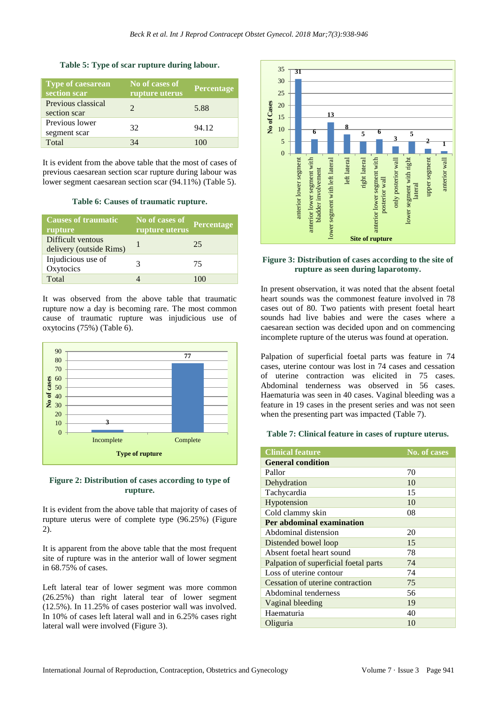#### **Table 5: Type of scar rupture during labour.**

| <b>Type of caesarean</b><br>section scar | No of cases of<br>rupture uterus | <b>Percentage</b> |
|------------------------------------------|----------------------------------|-------------------|
| Previous classical<br>section scar       | $\mathcal{D}_{\mathcal{A}}$      | 5.88              |
| Previous lower<br>segment scar           | 32                               | 94.12             |
| Total                                    | 34                               | 100               |

It is evident from the above table that the most of cases of previous caesarean section scar rupture during labour was lower segment caesarean section scar (94.11%) (Table 5).

**Table 6: Causes of traumatic rupture.**

| <b>Causes of traumatic</b><br>rupture        | No of cases of<br>rupture uterus | <b>Percentage</b> |
|----------------------------------------------|----------------------------------|-------------------|
| Difficult ventous<br>delivery (outside Rims) |                                  | 25                |
| Injudicious use of<br>Oxytocics              |                                  | 75                |
| Total                                        |                                  |                   |

It was observed from the above table that traumatic rupture now a day is becoming rare. The most common cause of traumatic rupture was injudicious use of oxytocins (75%) (Table 6).





It is evident from the above table that majority of cases of rupture uterus were of complete type (96.25%) (Figure 2).

It is apparent from the above table that the most frequent site of rupture was in the anterior wall of lower segment in 68.75% of cases.

Left lateral tear of lower segment was more common (26.25%) than right lateral tear of lower segment (12.5%). In 11.25% of cases posterior wall was involved. In 10% of cases left lateral wall and in 6.25% cases right lateral wall were involved (Figure 3).



#### **Figure 3: Distribution of cases according to the site of rupture as seen during laparotomy.**

In present observation, it was noted that the absent foetal heart sounds was the commonest feature involved in 78 cases out of 80. Two patients with present foetal heart sounds had live babies and were the cases where a caesarean section was decided upon and on commencing incomplete rupture of the uterus was found at operation.

Palpation of superficial foetal parts was feature in 74 cases, uterine contour was lost in 74 cases and cessation of uterine contraction was elicited in 75 cases. Abdominal tenderness was observed in 56 cases. Haematuria was seen in 40 cases. Vaginal bleeding was a feature in 19 cases in the present series and was not seen when the presenting part was impacted (Table 7).

#### **Table 7: Clinical feature in cases of rupture uterus.**

| <b>Clinical feature</b>               | <b>No. of cases</b> |
|---------------------------------------|---------------------|
| <b>General condition</b>              |                     |
| Pallor                                | 70                  |
| Dehydration                           | 10                  |
| Tachycardia                           | 15                  |
| Hypotension                           | 10                  |
| Cold clammy skin                      | 08                  |
| Per abdominal examination             |                     |
| Abdominal distension                  | 20                  |
| Distended bowel loop                  | 15                  |
| Absent foetal heart sound             | 78                  |
| Palpation of superficial foetal parts | 74                  |
| Loss of uterine contour               | 74                  |
| Cessation of uterine contraction      | 75                  |
| Abdominal tenderness                  | 56                  |
| Vaginal bleeding                      | 19                  |
| Haematuria                            | 40                  |
| Oliguria                              | 10                  |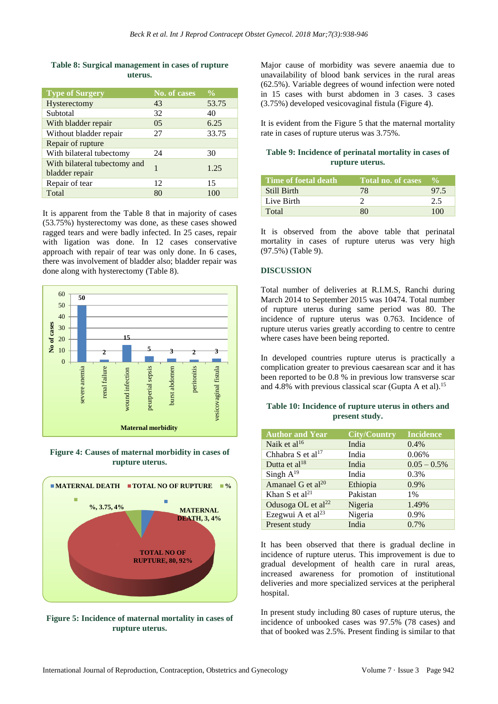| Table 8: Surgical management in cases of rupture |         |  |
|--------------------------------------------------|---------|--|
|                                                  | uterus. |  |

| <b>Type of Surgery</b>                         | No. of cases | $\frac{0}{0}$ |
|------------------------------------------------|--------------|---------------|
| Hysterectomy                                   | 43           | 53.75         |
| Subtotal                                       | 32           | 40            |
| With bladder repair                            | 0.5          | 6.25          |
| Without bladder repair                         | 27           | 33.75         |
| Repair of rupture                              |              |               |
| With bilateral tubectomy                       | 24           | 30            |
| With bilateral tubectomy and<br>bladder repair |              | 1.25          |
| Repair of tear                                 | 12           | 15            |
| Total                                          | 80           | 100           |

It is apparent from the Table 8 that in majority of cases (53.75%) hysterectomy was done, as these cases showed ragged tears and were badly infected. In 25 cases, repair with ligation was done. In 12 cases conservative approach with repair of tear was only done. In 6 cases, there was involvement of bladder also; bladder repair was done along with hysterectomy (Table 8).



**Figure 4: Causes of maternal morbidity in cases of rupture uterus.**



**Figure 5: Incidence of maternal mortality in cases of rupture uterus.**

Major cause of morbidity was severe anaemia due to unavailability of blood bank services in the rural areas (62.5%). Variable degrees of wound infection were noted in 15 cases with burst abdomen in 3 cases. 3 cases (3.75%) developed vesicovaginal fistula (Figure 4).

It is evident from the Figure 5 that the maternal mortality rate in cases of rupture uterus was 3.75%.

# **Table 9: Incidence of perinatal mortality in cases of rupture uterus.**

| Time of foetal death | Total no. of cases |      |
|----------------------|--------------------|------|
| Still Birth          | 78                 | 97.5 |
| Live Birth           |                    | 2.5  |
| Total                |                    | 100  |

It is observed from the above table that perinatal mortality in cases of rupture uterus was very high (97.5%) (Table 9).

# **DISCUSSION**

Total number of deliveries at R.I.M.S, Ranchi during March 2014 to September 2015 was 10474. Total number of rupture uterus during same period was 80. The incidence of rupture uterus was 0.763. Incidence of rupture uterus varies greatly according to centre to centre where cases have been being reported.

In developed countries rupture uterus is practically a complication greater to previous caesarean scar and it has been reported to be 0.8 % in previous low transverse scar and 4.8% with previous classical scar (Gupta A et al). 15

# **Table 10: Incidence of rupture uterus in others and present study.**

| <b>Author and Year</b>         | <b>City/Country</b> | <b>Incidence</b> |
|--------------------------------|---------------------|------------------|
| Naik et al <sup>16</sup>       | India               | 0.4%             |
| Chhabra S et al <sup>17</sup>  | India               | 0.06%            |
| Dutta et al <sup>18</sup>      | India               | $0.05 - 0.5\%$   |
| Singh $A^{19}$                 | India               | 0.3%             |
| Amanael G et al <sup>20</sup>  | Ethiopia            | 0.9%             |
| Khan S et al <sup>21</sup>     | Pakistan            | $1\%$            |
| Odusoga OL et al <sup>22</sup> | Nigeria             | 1.49%            |
| Ezegwui A et al <sup>23</sup>  | Nigeria             | 0.9%             |
| Present study                  | India               | $0.7\%$          |

It has been observed that there is gradual decline in incidence of rupture uterus. This improvement is due to gradual development of health care in rural areas, increased awareness for promotion of institutional deliveries and more specialized services at the peripheral hospital.

In present study including 80 cases of rupture uterus, the incidence of unbooked cases was 97.5% (78 cases) and that of booked was 2.5%. Present finding is similar to that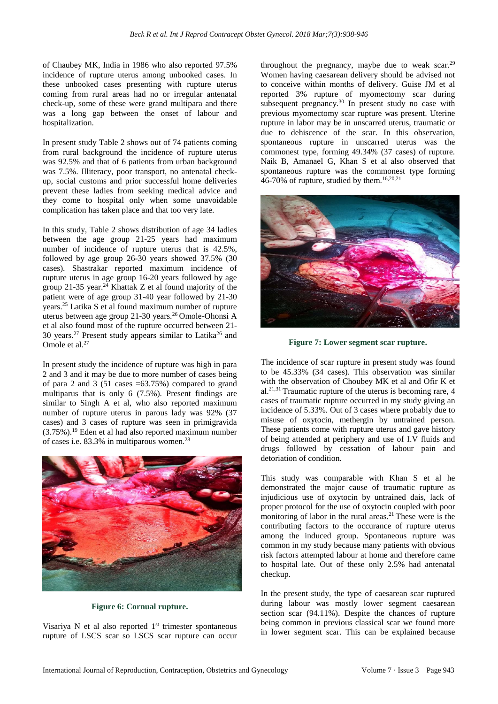of Chaubey MK, India in 1986 who also reported 97.5% incidence of rupture uterus among unbooked cases. In these unbooked cases presenting with rupture uterus coming from rural areas had no or irregular antenatal check-up, some of these were grand multipara and there was a long gap between the onset of labour and hospitalization.

In present study Table 2 shows out of 74 patients coming from rural background the incidence of rupture uterus was 92.5% and that of 6 patients from urban background was 7.5%. Illiteracy, poor transport, no antenatal checkup, social customs and prior successful home deliveries prevent these ladies from seeking medical advice and they come to hospital only when some unavoidable complication has taken place and that too very late.

In this study, Table 2 shows distribution of age 34 ladies between the age group 21-25 years had maximum number of incidence of rupture uterus that is 42.5%, followed by age group 26-30 years showed 37.5% (30 cases). Shastrakar reported maximum incidence of rupture uterus in age group 16-20 years followed by age group 21-35 year.<sup>24</sup> Khattak Z et al found majority of the patient were of age group 31-40 year followed by 21-30 years. <sup>25</sup> Latika S et al found maximum number of rupture uterus between age group 21-30 years.<sup>26</sup> Omole-Ohonsi A et al also found most of the rupture occurred between 21- 30 years.<sup>27</sup> Present study appears similar to Latika<sup>26</sup> and Omole et al. 27

In present study the incidence of rupture was high in para 2 and 3 and it may be due to more number of cases being of para 2 and 3 (51 cases =63.75%) compared to grand multiparus that is only 6 (7.5%). Present findings are similar to Singh A et al, who also reported maximum number of rupture uterus in parous lady was 92% (37 cases) and 3 cases of rupture was seen in primigravida  $(3.75\%)$ .<sup>19</sup> Eden et al had also reported maximum number of cases i.e. 83.3% in multiparous women.<sup>28</sup>



**Figure 6: Cornual rupture.**

Visariya N et al also reported 1<sup>st</sup> trimester spontaneous rupture of LSCS scar so LSCS scar rupture can occur throughout the pregnancy, maybe due to weak scar.<sup>29</sup> Women having caesarean delivery should be advised not to conceive within months of delivery. Guise JM et al reported 3% rupture of myomectomy scar during subsequent pregnancy.<sup>30</sup> In present study no case with previous myomectomy scar rupture was present. Uterine rupture in labor may be in unscarred uterus, traumatic or due to dehiscence of the scar. In this observation, spontaneous rupture in unscarred uterus was the commonest type, forming 49.34% (37 cases) of rupture. Naik B, Amanael G, Khan S et al also observed that spontaneous rupture was the commonest type forming 46-70% of rupture, studied by them.16,20,21



**Figure 7: Lower segment scar rupture.**

The incidence of scar rupture in present study was found to be 45.33% (34 cases). This observation was similar with the observation of Choubey MK et al and Ofir K et al.21,31 Traumatic rupture of the uterus is becoming rare, 4 cases of traumatic rupture occurred in my study giving an incidence of 5.33%. Out of 3 cases where probably due to misuse of oxytocin, methergin by untrained person. These patients come with rupture uterus and gave history of being attended at periphery and use of I.V fluids and drugs followed by cessation of labour pain and detoriation of condition.

This study was comparable with [Khan](http://europepmc.org/search;jsessionid=FEA309881FCD10D840880CBF78909066?query=AUTH:%22Khan+S%22&page=1) S et al he demonstrated the major cause of traumatic rupture as injudicious use of oxytocin by untrained dais, lack of proper protocol for the use of oxytocin coupled with poor monitoring of labor in the rural areas.<sup>21</sup> These were is the contributing factors to the occurance of rupture uterus among the induced group. Spontaneous rupture was common in my study because many patients with obvious risk factors attempted labour at home and therefore came to hospital late. Out of these only 2.5% had antenatal checkup.

In the present study, the type of caesarean scar ruptured during labour was mostly lower segment caesarean section scar (94.11%). Despite the chances of rupture being common in previous classical scar we found more in lower segment scar. This can be explained because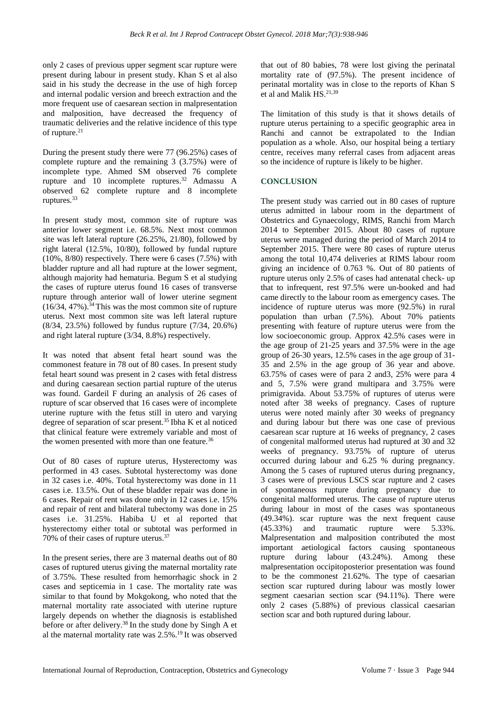only 2 cases of previous upper segment scar rupture were present during labour in present study. [Khan](http://europepmc.org/search;jsessionid=FEA309881FCD10D840880CBF78909066?query=AUTH:%22Khan+S%22&page=1) S et al also said in his study the decrease in the use of high forcep and internal podalic version and breech extraction and the more frequent use of caesarean section in malpresentation and malposition, have decreased the frequency of traumatic deliveries and the relative incidence of this type of rupture.<sup>21</sup>

During the present study there were 77 (96.25%) cases of complete rupture and the remaining 3 (3.75%) were of incomplete type. Ahmed SM observed 76 complete rupture and 10 incomplete ruptures.<sup>32</sup> Admassu A observed 62 complete rupture and 8 incomplete ruptures.<sup>33</sup>

In present study most, common site of rupture was anterior lower segment i.e. 68.5%. Next most common site was left lateral rupture (26.25%, 21/80), followed by right lateral (12.5%, 10/80), followed by fundal rupture (10%, 8/80) respectively. There were 6 cases (7.5%) with bladder rupture and all had rupture at the lower segment, although majority had hematuria. Begum S et al studying the cases of rupture uterus found 16 cases of transverse rupture through anterior wall of lower uterine segment  $(16/34, 47%)$ .<sup>34</sup> This was the most common site of rupture uterus. Next most common site was left lateral rupture (8/34, 23.5%) followed by fundus rupture (7/34, 20.6%) and right lateral rupture (3/34, 8.8%) respectively.

It was noted that absent fetal heart sound was the commonest feature in 78 out of 80 cases. In present study fetal heart sound was present in 2 cases with fetal distress and during caesarean section partial rupture of the uterus was found. Gardeil F during an analysis of 26 cases of rupture of scar observed that 16 cases were of incomplete uterine rupture with the fetus still in utero and varying degree of separation of scar present.<sup>35</sup> Ibha K et al noticed that clinical feature were extremely variable and most of the women presented with more than one feature.<sup>36</sup>

Out of 80 cases of rupture uterus, Hysterectomy was performed in 43 cases. Subtotal hysterectomy was done in 32 cases i.e. 40%. Total hysterectomy was done in 11 cases i.e. 13.5%. Out of these bladder repair was done in 6 cases. Repair of rent was done only in 12 cases i.e. 15% and repair of rent and bilateral tubectomy was done in 25 cases i.e. 31.25%. Habiba U et al reported that hysterectomy either total or subtotal was performed in 70% of their cases of rupture uterus.<sup>37</sup>

In the present series, there are 3 maternal deaths out of 80 cases of ruptured uterus giving the maternal mortality rate of 3.75%. These resulted from hemorrhagic shock in 2 cases and septicemia in 1 case. The mortality rate was similar to that found by Mokgokong, who noted that the maternal mortality rate associated with uterine rupture largely depends on whether the diagnosis is established before or after delivery.<sup>38</sup> In the study done by Singh A et al the maternal mortality rate was 2.5%.<sup>19</sup> It was observed that out of 80 babies, 78 were lost giving the perinatal mortality rate of (97.5%). The present incidence of perinatal mortality was in close to the reports of Khan S et al and Malik HS.<sup>21,39</sup>

The limitation of this study is that it shows details of rupture uterus pertaining to a specific geographic area in Ranchi and cannot be extrapolated to the Indian population as a whole. Also, our hospital being a tertiary centre, receives many referral cases from adjacent areas so the incidence of rupture is likely to be higher.

# **CONCLUSION**

The present study was carried out in 80 cases of rupture uterus admitted in labour room in the department of Obstetrics and Gynaecology, RIMS, Ranchi from March 2014 to September 2015. About 80 cases of rupture uterus were managed during the period of March 2014 to September 2015. There were 80 cases of rupture uterus among the total 10,474 deliveries at RIMS labour room giving an incidence of 0.763 %. Out of 80 patients of rupture uterus only 2.5% of cases had antenatal check- up that to infrequent, rest 97.5% were un-booked and had came directly to the labour room as emergency cases. The incidence of rupture uterus was more (92.5%) in rural population than urban (7.5%). About 70% patients presenting with feature of rupture uterus were from the low socioeconomic group. Approx 42.5% cases were in the age group of 21-25 years and 37.5% were in the age group of 26-30 years, 12.5% cases in the age group of 31- 35 and 2.5% in the age group of 36 year and above. 63.75% of cases were of para 2 and3, 25% were para 4 and 5, 7.5% were grand multipara and 3.75% were primigravida. About 53.75% of ruptures of uterus were noted after 38 weeks of pregnancy. Cases of rupture uterus were noted mainly after 30 weeks of pregnancy and during labour but there was one case of previous caesarean scar rupture at 16 weeks of pregnancy, 2 cases of congenital malformed uterus had ruptured at 30 and 32 weeks of pregnancy. 93.75% of rupture of uterus occurred during labour and 6.25 % during pregnancy. Among the 5 cases of ruptured uterus during pregnancy, 3 cases were of previous LSCS scar rupture and 2 cases of spontaneous rupture during pregnancy due to congenital malformed uterus. The cause of rupture uterus during labour in most of the cases was spontaneous (49.34%). scar rupture was the next frequent cause (45.33%) and traumatic rupture were 5.33%. Malpresentation and malposition contributed the most important aetiological factors causing spontaneous rupture during labour (43.24%). Among these malpresentation occipitoposterior presentation was found to be the commonest 21.62%. The type of caesarian section scar ruptured during labour was mostly lower segment caesarian section scar (94.11%). There were only 2 cases (5.88%) of previous classical caesarian section scar and both ruptured during labour.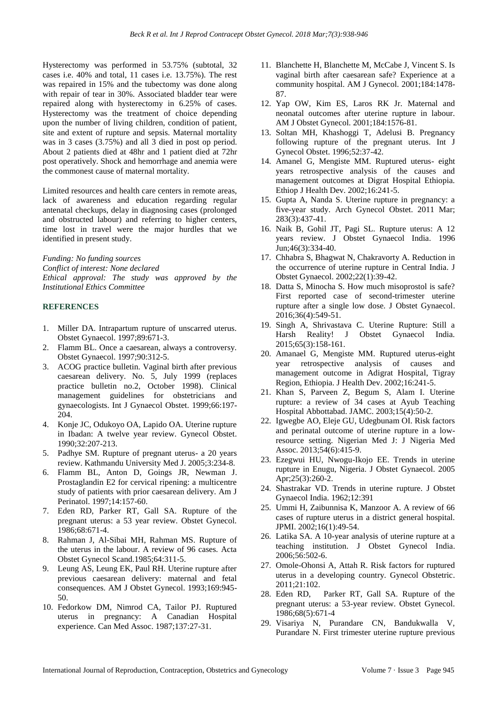Hysterectomy was performed in 53.75% (subtotal, 32 cases i.e. 40% and total, 11 cases i.e. 13.75%). The rest was repaired in 15% and the tubectomy was done along with repair of tear in 30%. Associated bladder tear were repaired along with hysterectomy in 6.25% of cases. Hysterectomy was the treatment of choice depending upon the number of living children, condition of patient, site and extent of rupture and sepsis. Maternal mortality was in 3 cases (3.75%) and all 3 died in post op period. About 2 patients died at 48hr and 1 patient died at 72hr post operatively. Shock and hemorrhage and anemia were the commonest cause of maternal mortality.

Limited resources and health care centers in remote areas, lack of awareness and education regarding regular antenatal checkups, delay in diagnosing cases (prolonged and obstructed labour) and referring to higher centers, time lost in travel were the major hurdles that we identified in present study.

*Funding: No funding sources Conflict of interest: None declared Ethical approval: The study was approved by the Institutional Ethics Committee*

#### **REFERENCES**

- 1. Miller DA. Intrapartum rupture of unscarred uterus. Obstet Gynaecol. 1997;89:671-3.
- 2. Flamm BL. Once a caesarean, always a controversy. Obstet Gynaecol. 1997;90:312-5.
- 3. ACOG practice bulletin. Vaginal birth after previous caesarean delivery. No. 5, July 1999 (replaces practice bulletin no.2, October 1998). Clinical management guidelines for obstetricians and gynaecologists. Int J Gynaecol Obstet. 1999;66:197- 204.
- 4. Konje JC, Odukoyo OA, Lapido OA. Uterine rupture in Ibadan: A twelve year review. Gynecol Obstet. 1990;32:207-213.
- 5. Padhye SM. Rupture of pregnant uterus- a 20 years review. Kathmandu University Med J. 2005;3:234-8.
- 6. Flamm BL, Anton D, Goings JR, Newman J. Prostaglandin E2 for cervical ripening: a multicentre study of patients with prior caesarean delivery. Am J Perinatol. 1997;14:157-60.
- 7. Eden RD, Parker RT, Gall SA. Rupture of the pregnant uterus: a 53 year review. Obstet Gynecol. 1986;68:671-4.
- 8. Rahman J, Al-Sibai MH, Rahman MS. Rupture of the uterus in the labour. A review of 96 cases. Acta Obstet Gynecol Scand.1985;64:311-5.
- 9. Leung AS, Leung EK, Paul RH. Uterine rupture after previous caesarean delivery: maternal and fetal consequences. AM J Obstet Gynecol. 1993;169:945- 50.
- 10. Fedorkow DM, Nimrod CA, Tailor PJ. Ruptured uterus in pregnancy: A Canadian Hospital experience. Can Med Assoc. 1987;137:27-31.
- 11. Blanchette H, Blanchette M, McCabe J, Vincent S. Is vaginal birth after caesarean safe? Experience at a community hospital. AM J Gynecol. 2001;184:1478- 87.
- 12. Yap OW, Kim ES, Laros RK Jr. Maternal and neonatal outcomes after uterine rupture in labour. AM J Obstet Gynecol. 2001;184:1576-81.
- 13. Soltan MH, Khashoggi T, Adelusi B. Pregnancy following rupture of the pregnant uterus. Int J Gynecol Obstet. 1996;52:37-42.
- 14. Amanel G, Mengiste MM. Ruptured uterus- eight years retrospective analysis of the causes and management outcomes at Digrat Hospital Ethiopia. Ethiop J Health Dev. 2002;16:241-5.
- 15. Gupta A, Nanda S. Uterine rupture in pregnancy: a five-year study. Arch Gynecol Obstet. 2011 Mar; 283(3):437-41.
- 16. Naik B, Gohil JT, Pagi SL. Rupture uterus: A 12 years review. J Obstet Gynaecol India. 1996 Jun;46(3):334-40.
- 17. Chhabra S, Bhagwat N, Chakravorty A. Reduction in the occurrence of uterine rupture in Central India. J Obstet Gynaecol. 2002;22(1):39-42.
- 18. Datta S, Minocha S. How much misoprostol is safe? First reported case of second-trimester uterine rupture after a single low dose. J Obstet Gynaecol. 2016;36(4):549-51.
- 19. Singh A, Shrivastava C. Uterine Rupture: Still a Harsh Reality! J Obstet Gynaecol India. 2015;65(3):158-161.
- 20. Amanael G, Mengiste MM. Ruptured uterus-eight year retrospective analysis of causes and management outcome in Adigrat Hospital, Tigray Region, Ethiopia. J Health Dev. 2002;16:241-5.
- 21. Khan S, Parveen Z, Begum S, Alam I. Uterine rupture: a review of 34 cases at Ayub Teaching Hospital Abbottabad. JAMC. 2003;15(4):50-2.
- 22. Igwegbe AO, Eleje GU, Udegbunam OI. Risk factors and perinatal outcome of uterine rupture in a lowresource setting. Nigerian Med J: J Nigeria Med Assoc. 2013;54(6):415-9.
- 23. Ezegwui HU, Nwogu-Ikojo EE. Trends in uterine rupture in Enugu, Nigeria. J Obstet Gynaecol. 2005 Apr;25(3):260-2.
- 24. Shastrakar VD. Trends in uterine rupture. J Obstet Gynaecol India. 1962;12:391
- 25. Ummi H, Zaibunnisa K, Manzoor A. A review of 66 cases of rupture uterus in a district general hospital. JPMI. 2002;16(1):49-54.
- 26. Latika SA. A 10-year analysis of uterine rupture at a teaching institution. J Obstet Gynecol India. 2006;56:502-6.
- 27. Omole-Ohonsi A, Attah R. Risk factors for ruptured uterus in a developing country. Gynecol Obstetric. 2011;21:102.
- 28. Eden RD, Parker RT, Gall SA. Rupture of the pregnant uterus: a 53-year review. Obstet Gynecol. 1986;68(5):671-4
- 29. Visariya N, Purandare CN, Bandukwalla V, Purandare N. First trimester uterine rupture previous